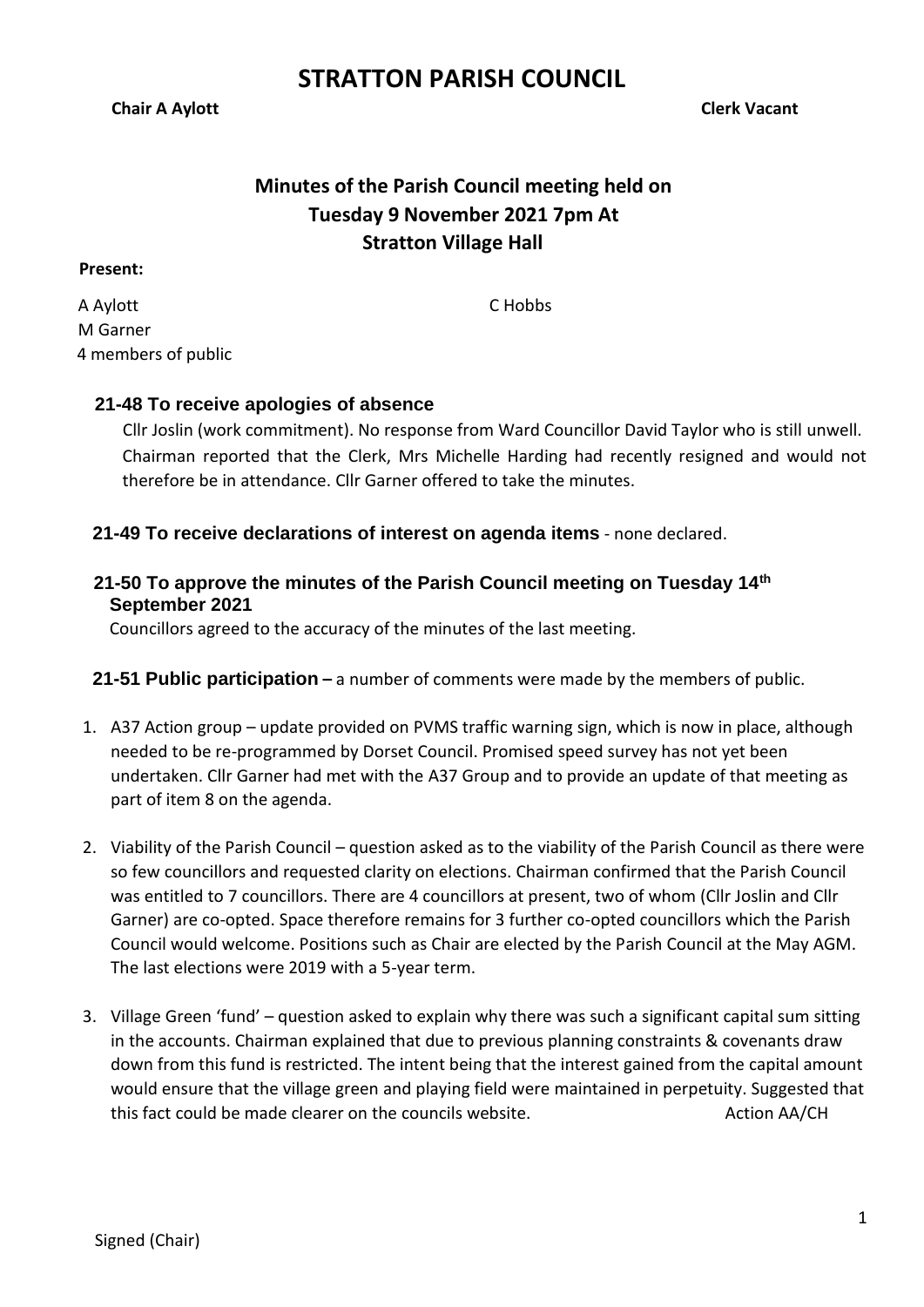**Minutes of the Parish Council meeting held on Tuesday 9 November 2021 7pm At Stratton Village Hall**

#### **Present:**

A Aylott M Garner 4 members of public C Hobbs

## **21-48 To receive apologies of absence**

Cllr Joslin (work commitment). No response from Ward Councillor David Taylor who is still unwell. Chairman reported that the Clerk, Mrs Michelle Harding had recently resigned and would not therefore be in attendance. Cllr Garner offered to take the minutes.

## **21-49 To receive declarations of interest on agenda items** - none declared.

## **21-50 To approve the minutes of the Parish Council meeting on Tuesday 14th September 2021**

Councillors agreed to the accuracy of the minutes of the last meeting.

**21-51 Public participation –** a number of comments were made by the members of public.

- 1. A37 Action group update provided on PVMS traffic warning sign, which is now in place, although needed to be re-programmed by Dorset Council. Promised speed survey has not yet been undertaken. Cllr Garner had met with the A37 Group and to provide an update of that meeting as part of item 8 on the agenda.
- 2. Viability of the Parish Council question asked as to the viability of the Parish Council as there were so few councillors and requested clarity on elections. Chairman confirmed that the Parish Council was entitled to 7 councillors. There are 4 councillors at present, two of whom (Cllr Joslin and Cllr Garner) are co-opted. Space therefore remains for 3 further co-opted councillors which the Parish Council would welcome. Positions such as Chair are elected by the Parish Council at the May AGM. The last elections were 2019 with a 5-year term.
- 3. Village Green 'fund' question asked to explain why there was such a significant capital sum sitting in the accounts. Chairman explained that due to previous planning constraints & covenants draw down from this fund is restricted. The intent being that the interest gained from the capital amount would ensure that the village green and playing field were maintained in perpetuity. Suggested that this fact could be made clearer on the councils website. Action AA/CH

#### **Chair A Aylott** Chair A Aylott Chair A Aylott Chair A Aylott Chair A Aylott Chair A Aylott Chair A Aylott Chair A Aylott Chair A Aylott Chair A Aylott Chair A Aylott Chair A Aylott Chair A Aylott Chair A Aylott Chair A Ay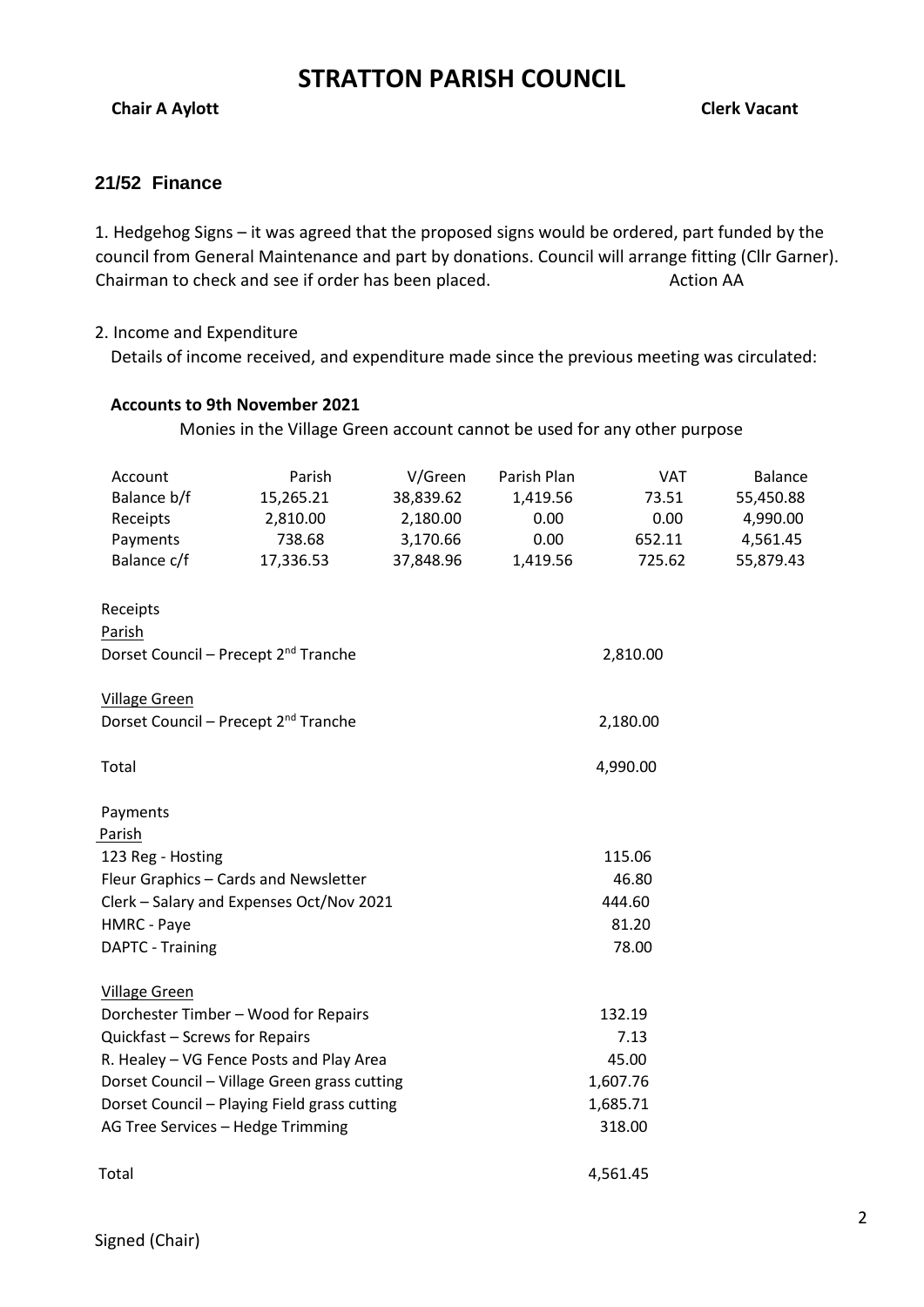**Chair A Aylott** Chair A Aylott Chair A Aylott Chair A Aylott Chair A Aylott Chair A Aylott Chair A Aylott Chair A Aylott Chair A Aylott Chair A Aylott Chair A Aylott Chair A Aylott Chair A Aylott Chair A Aylott Chair A Ay

#### **21/52 Finance**

1. Hedgehog Signs – it was agreed that the proposed signs would be ordered, part funded by the council from General Maintenance and part by donations. Council will arrange fitting (Cllr Garner). Chairman to check and see if order has been placed. Action AA

#### 2. Income and Expenditure

Details of income received, and expenditure made since the previous meeting was circulated:

#### **Accounts to 9th November 2021**

Monies in the Village Green account cannot be used for any other purpose

| Account                           | Parish                                           | V/Green               | Parish Plan      | <b>VAT</b>    | Balance               |  |  |  |
|-----------------------------------|--------------------------------------------------|-----------------------|------------------|---------------|-----------------------|--|--|--|
| Balance b/f<br>Receipts           | 15,265.21<br>2,810.00                            | 38,839.62<br>2,180.00 | 1,419.56<br>0.00 | 73.51<br>0.00 | 55,450.88<br>4,990.00 |  |  |  |
| Payments                          | 738.68                                           | 3,170.66              | 0.00             | 652.11        | 4,561.45              |  |  |  |
| Balance c/f                       | 17,336.53                                        | 37,848.96             | 1,419.56         | 725.62        | 55,879.43             |  |  |  |
| Receipts                          |                                                  |                       |                  |               |                       |  |  |  |
| Parish                            |                                                  |                       |                  |               |                       |  |  |  |
|                                   | Dorset Council - Precept 2 <sup>nd</sup> Tranche | 2,810.00              |                  |               |                       |  |  |  |
| <b>Village Green</b>              |                                                  |                       |                  |               |                       |  |  |  |
|                                   | Dorset Council - Precept 2 <sup>nd</sup> Tranche | 2,180.00              |                  |               |                       |  |  |  |
| Total                             |                                                  | 4,990.00              |                  |               |                       |  |  |  |
| Payments                          |                                                  |                       |                  |               |                       |  |  |  |
| Parish                            |                                                  |                       |                  |               |                       |  |  |  |
| 123 Reg - Hosting                 |                                                  | 115.06                |                  |               |                       |  |  |  |
|                                   | Fleur Graphics - Cards and Newsletter            | 46.80                 |                  |               |                       |  |  |  |
|                                   | Clerk - Salary and Expenses Oct/Nov 2021         | 444.60                |                  |               |                       |  |  |  |
| HMRC - Paye                       |                                                  | 81.20                 |                  |               |                       |  |  |  |
| DAPTC - Training                  |                                                  | 78.00                 |                  |               |                       |  |  |  |
| <b>Village Green</b>              |                                                  |                       |                  |               |                       |  |  |  |
|                                   | Dorchester Timber - Wood for Repairs             | 132.19                |                  |               |                       |  |  |  |
| Quickfast - Screws for Repairs    |                                                  | 7.13                  |                  |               |                       |  |  |  |
|                                   | R. Healey - VG Fence Posts and Play Area         | 45.00                 |                  |               |                       |  |  |  |
|                                   | Dorset Council - Village Green grass cutting     | 1,607.76              |                  |               |                       |  |  |  |
|                                   | Dorset Council - Playing Field grass cutting     | 1,685.71              |                  |               |                       |  |  |  |
| AG Tree Services - Hedge Trimming |                                                  |                       | 318.00           |               |                       |  |  |  |
| Total                             |                                                  | 4,561.45              |                  |               |                       |  |  |  |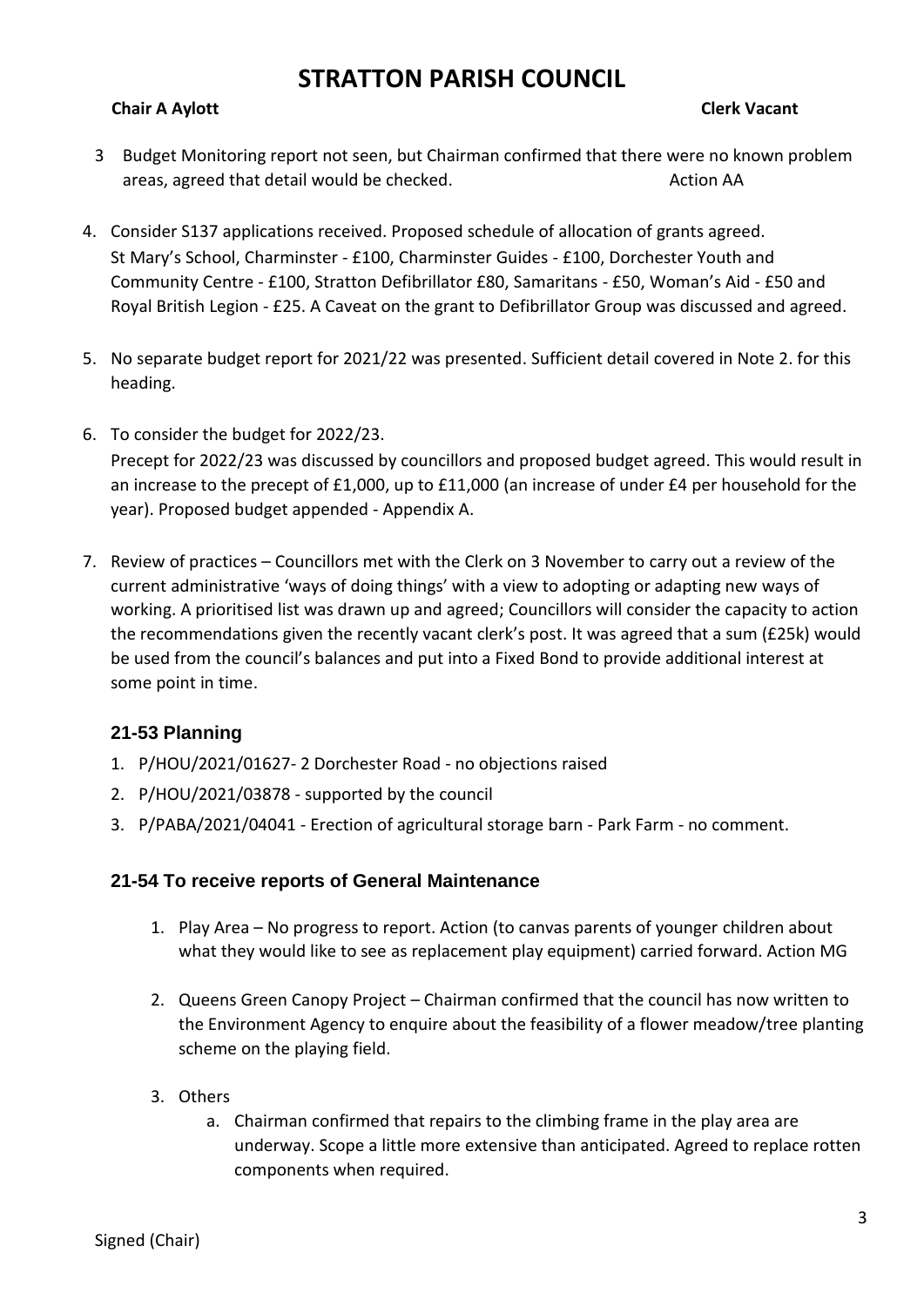#### **Chair A Aylott** Chair A Aylott Chair A Aylott Chair A Aylott Chair A Aylott Chair A Aylott Chair A Aylott Chair A Aylott Chair A Aylott Chair A Aylott Chair A Aylott Chair A Aylott Chair A Aylott Chair A Aylott Chair A Ay

- 3 Budget Monitoring report not seen, but Chairman confirmed that there were no known problem areas, agreed that detail would be checked. Action AA
- 4. Consider S137 applications received. Proposed schedule of allocation of grants agreed. St Mary's School, Charminster - £100, Charminster Guides - £100, Dorchester Youth and Community Centre - £100, Stratton Defibrillator £80, Samaritans - £50, Woman's Aid - £50 and Royal British Legion - £25. A Caveat on the grant to Defibrillator Group was discussed and agreed.
- 5. No separate budget report for 2021/22 was presented. Sufficient detail covered in Note 2. for this heading.
- 6. To consider the budget for 2022/23.

Precept for 2022/23 was discussed by councillors and proposed budget agreed. This would result in an increase to the precept of £1,000, up to £11,000 (an increase of under £4 per household for the year). Proposed budget appended - Appendix A.

7. Review of practices – Councillors met with the Clerk on 3 November to carry out a review of the current administrative 'ways of doing things' with a view to adopting or adapting new ways of working. A prioritised list was drawn up and agreed; Councillors will consider the capacity to action the recommendations given the recently vacant clerk's post. It was agreed that a sum (£25k) would be used from the council's balances and put into a Fixed Bond to provide additional interest at some point in time.

## **21-53 Planning**

- 1. P/HOU/2021/01627- 2 Dorchester Road no objections raised
- 2. P/HOU/2021/03878 supported by the council
- 3. P/PABA/2021/04041 Erection of agricultural storage barn Park Farm no comment.

#### **21-54 To receive reports of General Maintenance**

- 1. Play Area No progress to report. Action (to canvas parents of younger children about what they would like to see as replacement play equipment) carried forward. Action MG
- 2. Queens Green Canopy Project Chairman confirmed that the council has now written to the Environment Agency to enquire about the feasibility of a flower meadow/tree planting scheme on the playing field.
- 3. Others
	- a. Chairman confirmed that repairs to the climbing frame in the play area are underway. Scope a little more extensive than anticipated. Agreed to replace rotten components when required.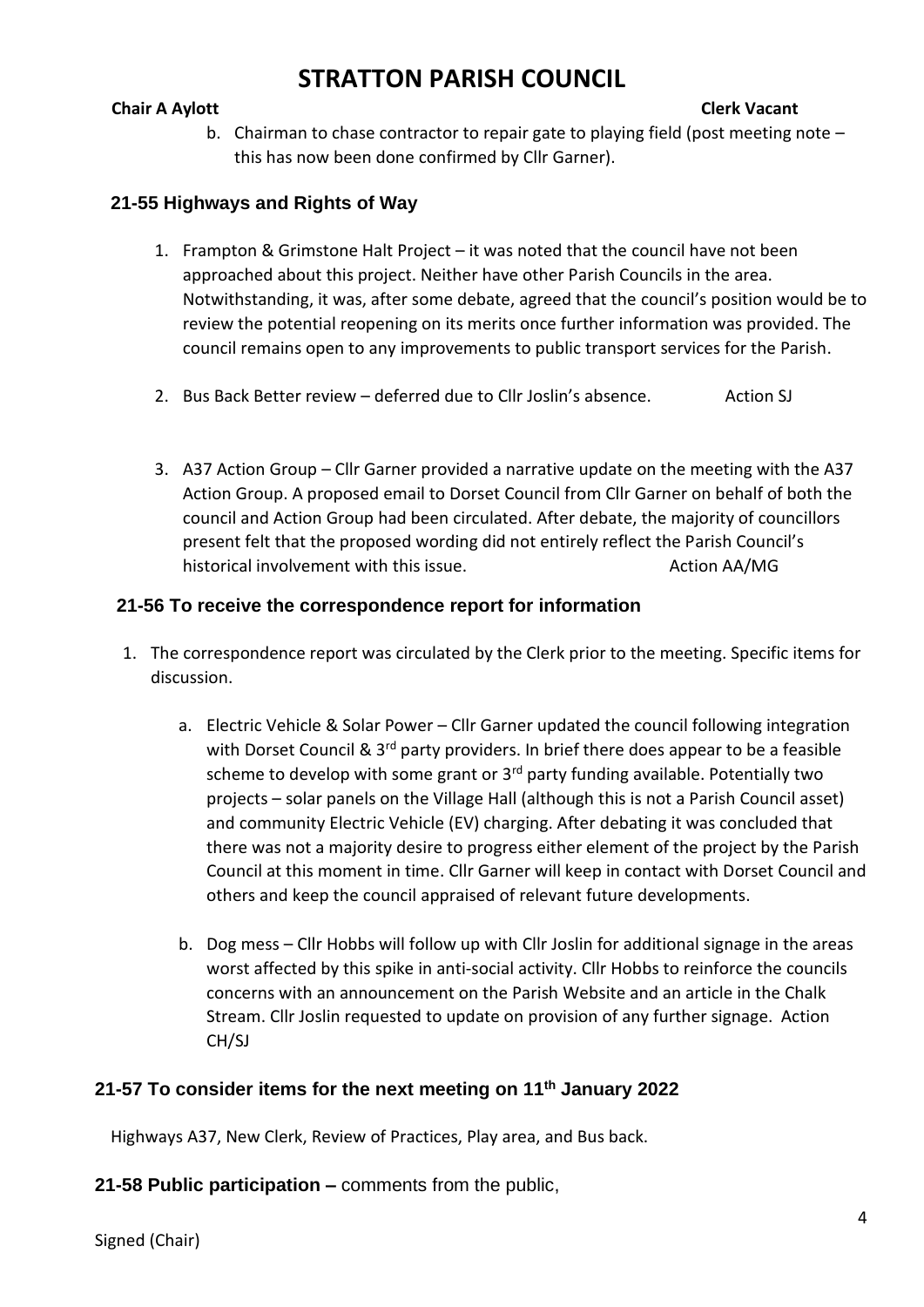#### **Chair A Aylott** Chair A Aylott Chair A Aylott Chair A Aylott Chair A Aylott Chair A Aylott Chair A Aylott Chair A Aylott Chair A Aylott Chair A Aylott Chair A Aylott Chair A Aylott Chair A Aylott Chair A Aylott Chair A Ay

b. Chairman to chase contractor to repair gate to playing field (post meeting note – this has now been done confirmed by Cllr Garner).

## **21-55 Highways and Rights of Way**

- 1. Frampton & Grimstone Halt Project it was noted that the council have not been approached about this project. Neither have other Parish Councils in the area. Notwithstanding, it was, after some debate, agreed that the council's position would be to review the potential reopening on its merits once further information was provided. The council remains open to any improvements to public transport services for the Parish.
- 2. Bus Back Better review deferred due to Cllr Joslin's absence. Action SJ
- 3. A37 Action Group Cllr Garner provided a narrative update on the meeting with the A37 Action Group. A proposed email to Dorset Council from Cllr Garner on behalf of both the council and Action Group had been circulated. After debate, the majority of councillors present felt that the proposed wording did not entirely reflect the Parish Council's historical involvement with this issue. Action AA/MG

## **21-56 To receive the correspondence report for information**

- 1. The correspondence report was circulated by the Clerk prior to the meeting. Specific items for discussion.
	- a. Electric Vehicle & Solar Power Cllr Garner updated the council following integration with Dorset Council &  $3<sup>rd</sup>$  party providers. In brief there does appear to be a feasible scheme to develop with some grant or  $3<sup>rd</sup>$  party funding available. Potentially two projects – solar panels on the Village Hall (although this is not a Parish Council asset) and community Electric Vehicle (EV) charging. After debating it was concluded that there was not a majority desire to progress either element of the project by the Parish Council at this moment in time. Cllr Garner will keep in contact with Dorset Council and others and keep the council appraised of relevant future developments.
	- b. Dog mess Cllr Hobbs will follow up with Cllr Joslin for additional signage in the areas worst affected by this spike in anti-social activity. Cllr Hobbs to reinforce the councils concerns with an announcement on the Parish Website and an article in the Chalk Stream. Cllr Joslin requested to update on provision of any further signage. Action CH/SJ

## **21-57 To consider items for the next meeting on 11th January 2022**

Highways A37, New Clerk, Review of Practices, Play area, and Bus back.

**21-58 Public participation –** comments from the public,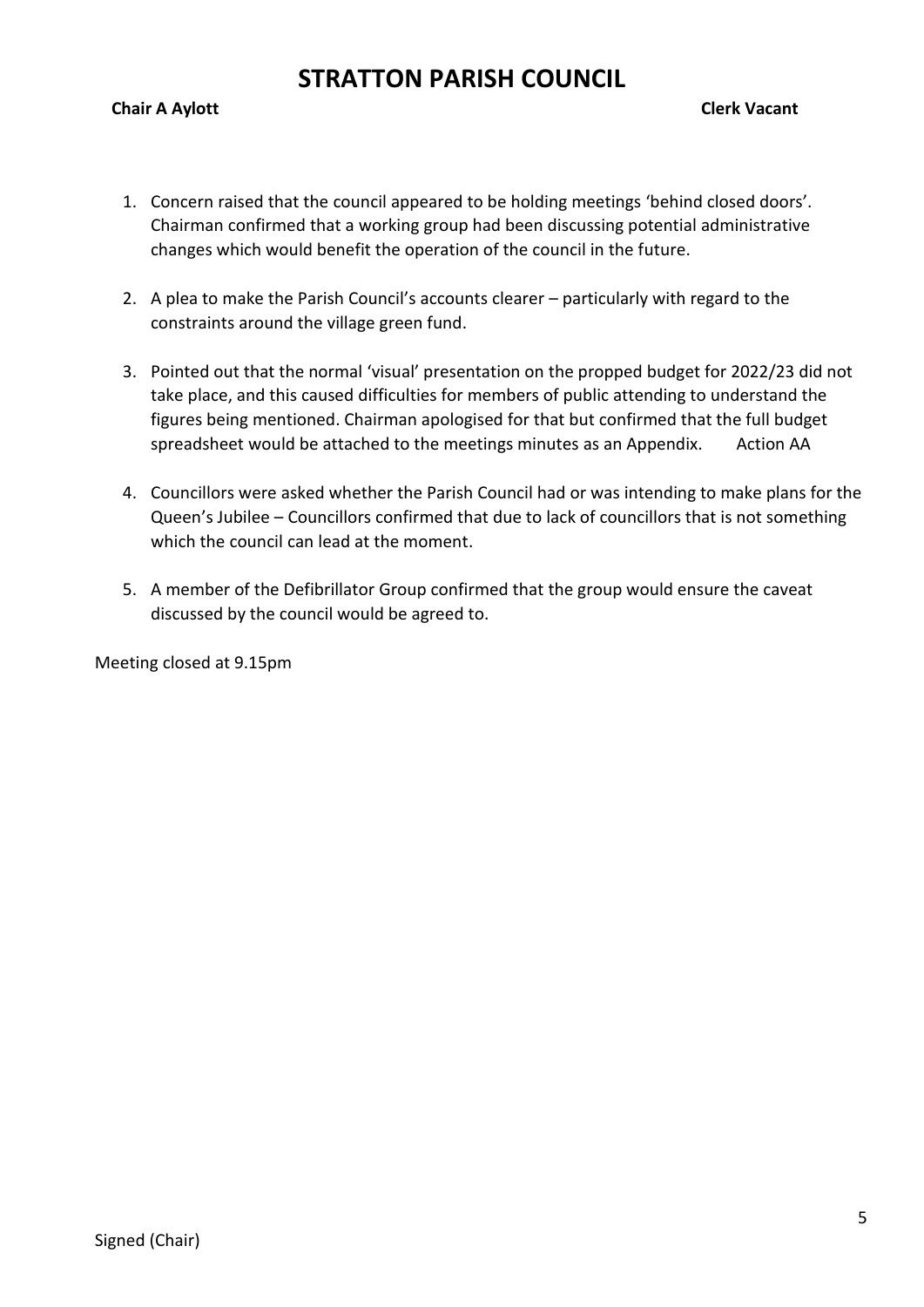#### **Chair A Aylott** Chair A Aylott Chair A Aylott Chair A Aylott Chair A Aylott Chair A Aylott Chair A Aylott Chair A Aylott Chair A Aylott Chair A Aylott Chair A Aylott Chair A Aylott Chair A Aylott Chair A Aylott Chair A Ay

- 1. Concern raised that the council appeared to be holding meetings 'behind closed doors'. Chairman confirmed that a working group had been discussing potential administrative changes which would benefit the operation of the council in the future.
- 2. A plea to make the Parish Council's accounts clearer particularly with regard to the constraints around the village green fund.
- 3. Pointed out that the normal 'visual' presentation on the propped budget for 2022/23 did not take place, and this caused difficulties for members of public attending to understand the figures being mentioned. Chairman apologised for that but confirmed that the full budget spreadsheet would be attached to the meetings minutes as an Appendix. Action AA
- 4. Councillors were asked whether the Parish Council had or was intending to make plans for the Queen's Jubilee – Councillors confirmed that due to lack of councillors that is not something which the council can lead at the moment.
- 5. A member of the Defibrillator Group confirmed that the group would ensure the caveat discussed by the council would be agreed to.

Meeting closed at 9.15pm